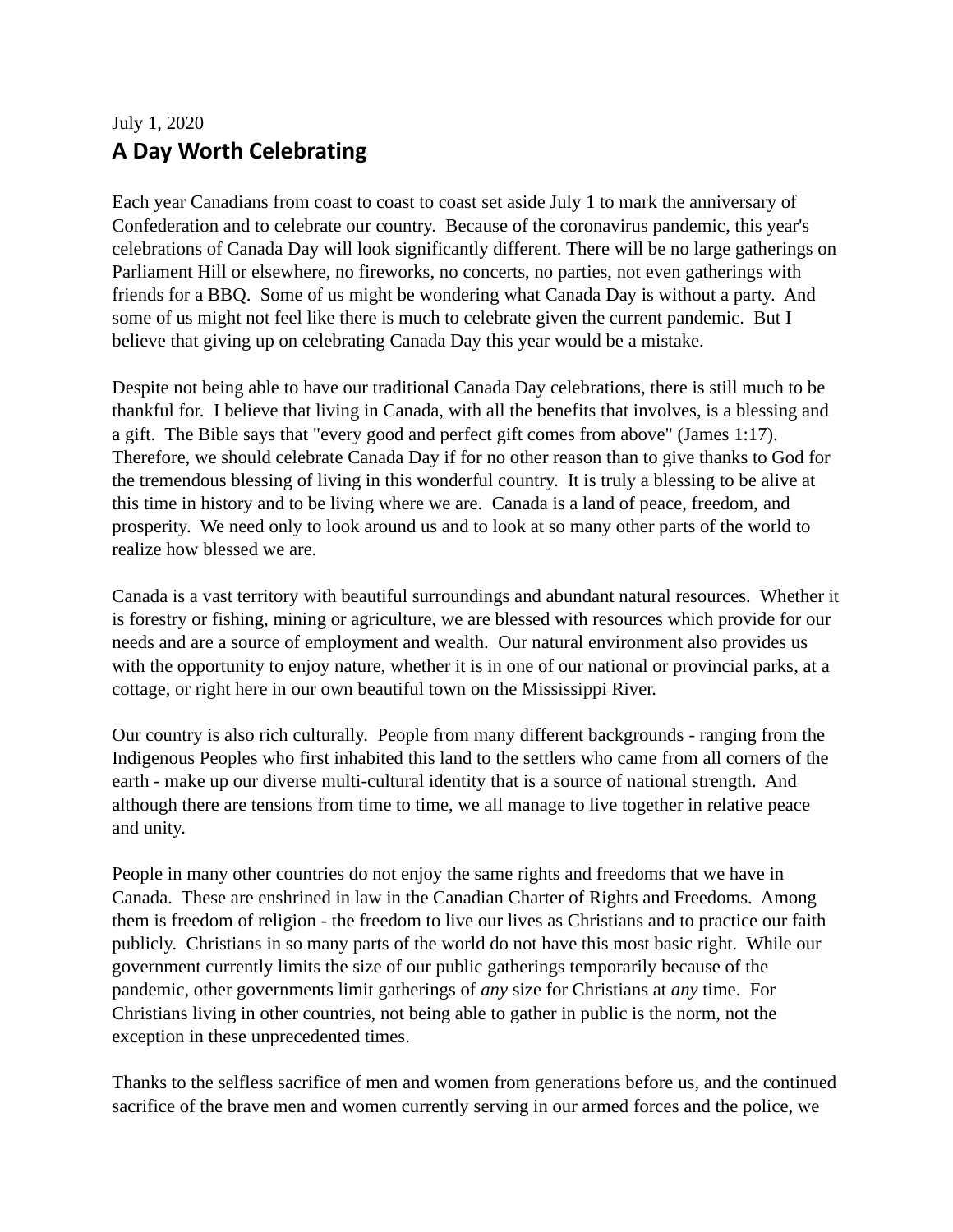## July 1, 2020 **A Day Worth Celebrating**

Each year Canadians from coast to coast to coast set aside July 1 to mark the anniversary of Confederation and to celebrate our country. Because of the coronavirus pandemic, this year's celebrations of Canada Day will look significantly different. There will be no large gatherings on Parliament Hill or elsewhere, no fireworks, no concerts, no parties, not even gatherings with friends for a BBQ. Some of us might be wondering what Canada Day is without a party. And some of us might not feel like there is much to celebrate given the current pandemic. But I believe that giving up on celebrating Canada Day this year would be a mistake.

Despite not being able to have our traditional Canada Day celebrations, there is still much to be thankful for. I believe that living in Canada, with all the benefits that involves, is a blessing and a gift. The Bible says that "every good and perfect gift comes from above" (James 1:17). Therefore, we should celebrate Canada Day if for no other reason than to give thanks to God for the tremendous blessing of living in this wonderful country. It is truly a blessing to be alive at this time in history and to be living where we are. Canada is a land of peace, freedom, and prosperity. We need only to look around us and to look at so many other parts of the world to realize how blessed we are.

Canada is a vast territory with beautiful surroundings and abundant natural resources. Whether it is forestry or fishing, mining or agriculture, we are blessed with resources which provide for our needs and are a source of employment and wealth. Our natural environment also provides us with the opportunity to enjoy nature, whether it is in one of our national or provincial parks, at a cottage, or right here in our own beautiful town on the Mississippi River.

Our country is also rich culturally. People from many different backgrounds - ranging from the Indigenous Peoples who first inhabited this land to the settlers who came from all corners of the earth - make up our diverse multi-cultural identity that is a source of national strength. And although there are tensions from time to time, we all manage to live together in relative peace and unity.

People in many other countries do not enjoy the same rights and freedoms that we have in Canada. These are enshrined in law in the Canadian Charter of Rights and Freedoms. Among them is freedom of religion - the freedom to live our lives as Christians and to practice our faith publicly. Christians in so many parts of the world do not have this most basic right. While our government currently limits the size of our public gatherings temporarily because of the pandemic, other governments limit gatherings of *any* size for Christians at *any* time. For Christians living in other countries, not being able to gather in public is the norm, not the exception in these unprecedented times.

Thanks to the selfless sacrifice of men and women from generations before us, and the continued sacrifice of the brave men and women currently serving in our armed forces and the police, we